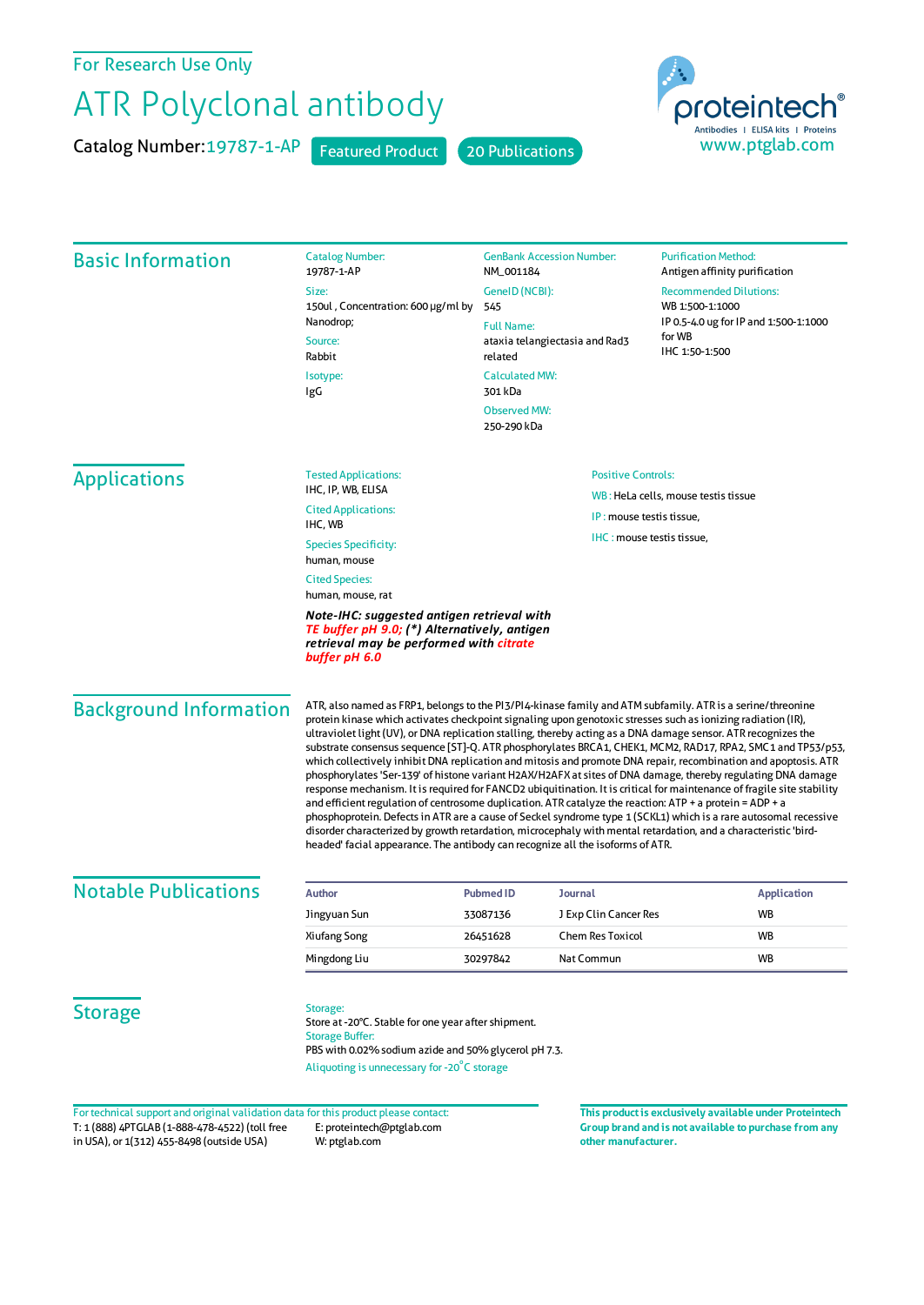## For Research Use Only

## ATR Polyclonal antibody

Catalog Number: 19787-1-AP Featured Product 20 Publications





## Basic Information Catalog Number: 19787-1-AP Size: 150ul , Concentration: 600 μg/ml by 545 Nanodrop; Source: Rabbit Isotype: IgG GenBank Accession Number: NM\_001184 GeneID(NCBI): Full Name: ataxia telangiectasia and Rad3 related CalculatedMW: 301 kDa ObservedMW: 250-290 kDa **Purification Method:** Antigen affinity purification Recommended Dilutions: WB 1:500-1:1000 IP 0.5-4.0 ug forIP and 1:500-1:1000 forWB IHC 1:50-1:500 Applications Tested Applications: IHC, IP, WB, ELISA Cited Applications: IHC, WB Species Specificity: human, mouse Cited Species: human, mouse, rat *Note-IHC: suggested antigen retrieval with TE buffer pH 9.0; (\*) Alternatively, antigen retrieval may be performed with citrate buffer pH 6.0* Positive Controls: WB : HeLa cells, mouse testis tissue IP : mouse testis tissue, IHC : mouse testis tissue. Background Information ATR, also named as FRP1, belongs to the PI3/PI4-kinase family and ATM subfamily. ATR is a serine/threonine protein kinase which activates checkpoint signaling upon genotoxic stresses such as ionizing radiation (IR), ultraviolet light (UV), or DNA replication stalling, thereby acting as a DNA damage sensor. ATR recognizes the substrate consensus sequence [ST]-Q. ATR phosphorylates BRCA1, CHEK1, MCM2, RAD17, RPA2, SMC1 and TP53/p53, which collectively inhibit DNA replication and mitosis and promote DNA repair, recombination and apoptosis. ATR phosphorylates 'Ser-139' of histone variant H2AX/H2AFX at sites of DNA damage, thereby regulating DNA damage response mechanism. It isrequired for FANCD2 ubiquitination. It is critical for maintenance offragile site stability and efficient regulation of centrosome duplication. ATR catalyze the reaction: ATP + a protein = ADP + a phosphoprotein. Defectsin ATR are a cause of Seckel syndrome type 1 (SCKL1) which is a rare autosomal recessive disorder characterized by growth retardation, microcephaly with mental retardation, and a characteristic 'birdheaded' facial appearance. The antibody can recognize all the isoforms of ATR. **Notable Publications Author Author PubmedID Journal Application Application** Jingyuan Sun 33087136 J Exp Clin Cancer Res WB Xiufang Song 26451628 Chem Res Toxicol WB Mingdong Liu **30297842** Nat Commun WB **Storage Storage** Store at -20°C. Stable for one year after shipment. Storage Buffer: PBS with 0.02% sodium azide and 50% glycerol pH 7.3. Aliquoting is unnecessary for -20<sup>°</sup>C storage

T: 1 (888) 4PTGLAB (1-888-478-4522) (toll free in USA), or 1(312) 455-8498 (outside USA) E: proteintech@ptglab.com W: ptglab.com Fortechnical support and original validation data forthis product please contact: **This productis exclusively available under Proteintech**

**Group brand and is not available to purchase from any other manufacturer.**